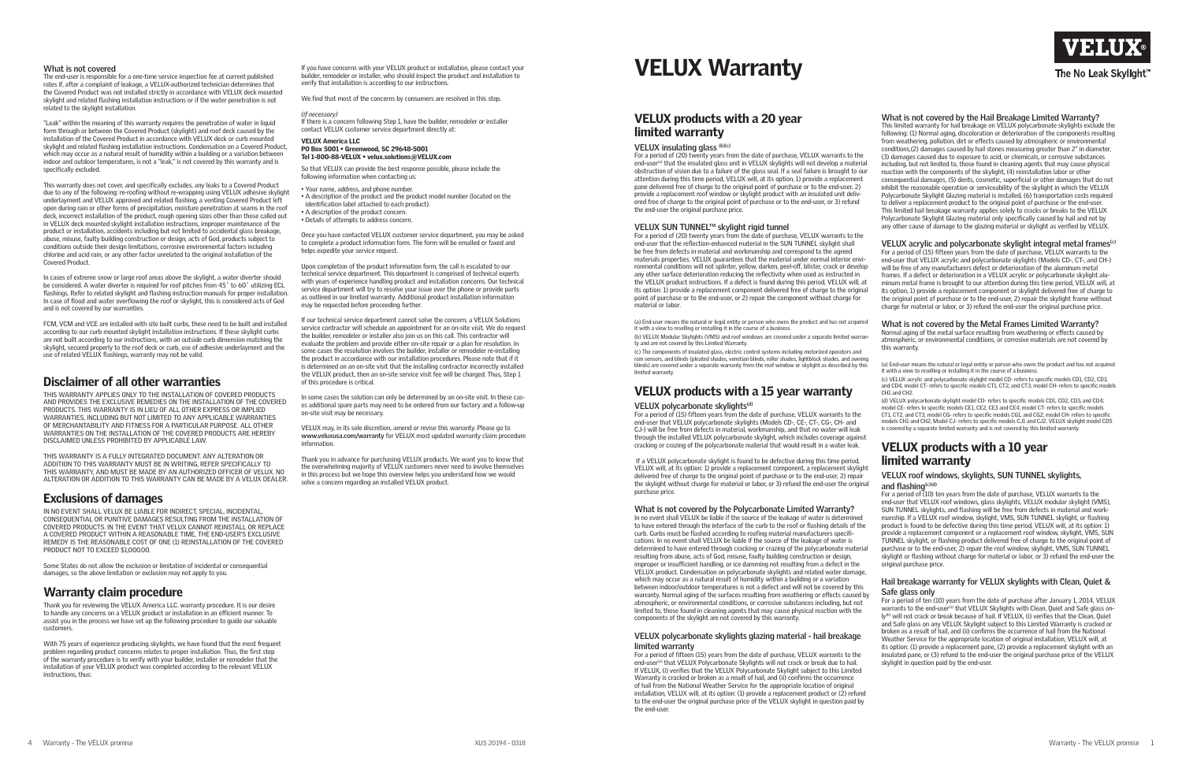# VELUX products with a 20 year limited warranty

#### **VELUX insulating glass (b)(c)**

For a period of (20) twenty years from the date of purchase, VELUX warrants to the end-user<sup>(a)</sup> that the insulated glass unit in VELUX skylights will not develop a material obstruction of vision due to a failure of the glass seal. If a seal failure is brought to our attention during this time period, VELUX will, at its option, 1) provide a replacement pane delivered free of charge to the original point of purchase or to the end-user, 2) provide a replacement roof window or skylight product with an insulated unit delivered free of charge to the original point of purchase or to the end-user, or 3) refund the end-user the original purchase price.

# **VELUX SUN TUNNEL™ skylight rigid tunnel**

For a period of (20) twenty years from the date of purchase, VELUX warrants to the end-user that the reflection-enhanced material in the SUN TUNNEL skylight shall be free from defects in material and workmanship and correspond to the agreed materials properties. VELUX guarantees that the material under normal interior environmental conditions will not splinter, yellow, darken, peel-off, blister, crack or develop any other surface deterioration reducing the reflectivity when used as instructed in the VELUX product instructions. If a defect is found during this period, VELUX will, at its option: 1) provide a replacement component delivered free of charge to the original point of purchase or to the end-user, or 2) repair the component without charge for material or labor.

(a) End-user means the natural or legal entity or person who owns the product and has not acquired it with a view to reselling or installing it in the course of a business.

(b) VELUX Modular Skylights (VMS) and roof windows are covered under a separate limited warranty and are not covered by this Limited Warranty.

(c) The components of insulated glass, electric control systems including motorized operators and rain sensors, and blinds (pleated shades, venetian blinds, roller shades, lightblock shades, and awning blinds) are covered under a separate warranty from the roof window or skylight as described by this limited warranty.

# VELUX products with a 15 year warranty

#### **VELUX polycarbonate skylights(d)**

For a period of (15) fifteen years from the date of purchase, VELUX warrants to the end-user that VELUX polycarbonate skylights (Models CD-, CE-, CT-, CG-, CH- and CJ-) will be free from defects in material, workmanship, and that no water will leak through the installed VELUX polycarbonate skylight, which includes coverage against cracking or crazing of the polycarbonate material that would result in a water leak.

 If a VELUX polycarbonate skylight is found to be defective during this time period, VELUX will, at its option: 1) provide a replacement component, a replacement skylight delivered free of charge to the original point of purchase or to the end-user, 2) repair the skylight without charge for material or labor, or 3) refund the end-user the original purchase price.

#### **What is not covered by the Polycarbonate Limited Warranty?**

(c) VELUX acrylic and polycarbonate skylight model CD- refers to specific models CD1, CD2, CD3, and CD4; model CT- refers to specific models CT1, CT2, and CT3; model CH- refers to specific models CH1 and CH2.

In no event shall VELUX be liable if the source of the leakage of water is determined to have entered through the interface of the curb to the roof or flashing details of the curb. Curbs must be flashed according to roofing material manufacturers specifications. In no event shall VELUX be liable if the source of the leakage of water is determined to have entered through cracking or crazing of the polycarbonate material resulting from abuse, acts of God, misuse, faulty building construction or design, improper or insufficient handling, or ice damming not resulting from a defect in the VELUX product. Condensation on polycarbonate skylights and related water damage, which may occur as a natural result of humidity within a building or a variation between indoor/outdoor temperatures is not a defect and will not be covered by this warranty. Normal aging of the surfaces resulting from weathering or effects caused by atmospheric, or environmental conditions, or corrosive substances including, but not limited to, those found in cleaning agents that may cause physical reaction with the components of the skylight are not covered by this warranty.

#### **VELUX polycarbonate skylights glazing material - hail breakage limited warranty**

For a period of fifteen (15) years from the date of purchase, VELUX warrants to the end-user<sup>(a)</sup> that VELUX Polycarbonate Skylights will not crack or break due to hail. If VELUX, (i) verifies that the VELUX Polycarbonate Skylight subject to this Limited Warranty is cracked or broken as a result of hail, and (ii) confirms the occurrence of hail from the National Weather Service for the appropriate location of original installation, VELUX will, at its option: (1) provide a replacement product or (2) refund to the end-user the original purchase price of the VELUX skylight in question paid by the end-user.



# **The No Leak Skylight**

**What is not covered by the Hail Breakage Limited Warranty?**

**What is not covered**<br>The end-user is responsible for a one-time service inspection fee at current published rates if, after a complaint of leakage, a VELUX-authorized technician determines that the Covered Product was not installed strictly in accordance with VELUX deck mounted skylight and related flashing installation instructions or if the water penetration is not related to the skylight installation.

> This limited warranty for hail breakage on VELUX polycarbonate skylights exclude the following: (1) Normal aging, discoloration or deterioration of the components resulting from weathering, pollution, dirt or effects caused by atmospheric or environmental conditions,(2) damages caused by hail stones measuring greater than 2" in diameter, (3) damages caused due to exposure to acid, or chemicals, or corrosive substances including, but not limited to, those found in cleaning agents that may cause physical reaction with the components of the skylight, (4) reinstallation labor or other consequential damages, (5) dents, cosmetic, superficial or other damages that do not inhibit the reasonable operation or serviceability of the skylight in which the VELUX Polycarbonate Skylight Glazing material is installed, (6) transportation costs required to deliver a replacement product to the original point of purchase or the end-user. This limited hail breakage warranty applies solely to cracks or breaks to the VELUX Polycarbonate Skylight Glazing material only specifically caused by hail and not by any other cause of damage to the glazing material or skylight as verified by VELUX.

#### **VELUX acrylic and polycarbonate skylight integral metal frames(c)**

For a period of (15) fifteen years from the date of purchase, VELUX warrants to the end-user that VELUX acrylic and polycarbonate skylights (Models CD-, CT-, and CH-) will be free of any manufacturers defect or deterioration of the aluminum metal frames. If a defect or deterioration in a VELUX acrylic or polycarbonate skylight aluminum metal frame is brought to our attention during this time period, VELUX will, at its option, 1) provide a replacement component or skylight delivered free of charge to the original point of purchase or to the end-user, 2) repair the skylight frame without charge for material or labor, or 3) refund the end-user the original purchase price.

IN NO EVENT SHALL VELUX BE LIABLE FOR INDIRECT, SPECIAL, INCIDENTAL, CONSEQUENTIAL OR PUNITIVE DAMAGES RESULTING FROM THE INSTALLATION OF COVERED PRODUCTS. IN THE EVENT THAT VELUX CANNOT REINSTALL OR REPLACE A COVERED PRODUCT WITHIN A REASONABLE TIME, THE END-USER'S EXCLUSIVE REMEDY IS THE REASONABLE COST OF ONE (1) REINSTALLATION OF THE COVERED PRODUCT NOT TO EXCEED \$1,000.00.

#### **What is not covered by the Metal Frames Limited Warranty?**

With 75 years of experience producing skylights, we have found that the most frequent problem regarding product concerns relates to proper installation. Thus, the first step of the warranty procedure is to verify with your builder, installer or remodeler that the installation of your VELUX product was completed according to the relevant VELUX instructions, thus:

Normal aging of the metal surface resulting from weathering or effects caused by atmospheric, or environmental conditions, or corrosive materials are not covered by this warranty.

(a) End-user means the natural or legal entity or person who owns the product and has not acquired it with a view to reselling or installing it in the course of a business.

(d) VELUX polycarbonate skylight model CD- refers to specific models CD1, CD2, CD3, and CD4; model CE- refers to specific models CE1, CE2, CE3 and CE4; model CT- refers to specific models CT1, CT2, and CT3; model CG- refers to specific models CG1, and CG2; model CH- refers to specific models CH1 and CH2; Model CJ- refers to specific models CJ1 and CJ2. VELUX skylight model CDS is covered by a separate limited warranty and is not covered by this limited warranty.

# VELUX products with a 10 year limited warranty

#### **VELUX roof windows, skylights, SUN TUNNEL skylights, and flashing(c)(d)**

For a period of (10) ten years from the date of purchase, VELUX warrants to the end-user that VELUX roof windows, glass skylights, VELUX modular skylight (VMS), SUN TUNNEL skylights, and flashing will be free from defects in material and workmanship. If a VELUX roof window, skylight, VMS, SUN TUNNEL skylight, or flashing product is found to be defective during this time period, VELUX will, at its option: 1) provide a replacement component or a replacement roof window, skylight, VMS, SUN TUNNEL skylight, or flashing product delivered free of charge to the original point of purchase or to the end-user, 2) repair the roof window, skylight, VMS, SUN TUNNEL skylight or flashing without charge for material or labor, or 3) refund the end-user the original purchase price.

#### **Hail breakage warranty for VELUX skylights with Clean, Quiet & Safe glass only**

For a period of ten (10) years from the date of purchase after January 1, 2014, VELUX warrants to the end-user<sup>(a)</sup> that VELUX Skylights with Clean, Quiet and Safe glass only<sup>(b)</sup> will not crack or break because of hail. If VELUX, (i) verifies that the Clean, Quiet and Safe glass on any VELUX Skylight subject to this Limited Warranty is cracked or broken as a result of hail, and (ii) confirms the occurrence of hail from the National Weather Service for the appropriate location of original installation, VELUX will, at its option: (1) provide a replacement pane, (2) provide a replacement skylight with an insulated pane, or (3) refund to the end-user the original purchase price of the VELUX skylight in question paid by the end-user.

"Leak" within the meaning of this warranty requires the penetration of water in liquid form through or between the Covered Product (skylight) and roof deck caused by the installation of the Covered Product in accordance with VELUX deck or curb mounted skylight and related flashing installation instructions. Condensation on a Covered Product, which may occur as a natural result of humidity within a building or a variation between indoor and outdoor temperatures, is not a "leak," is not covered by this warranty and is specifically excluded.

This warranty does not cover, and specifically excludes, any leaks to a Covered Product due to any of the following: re-roofing without re-wrapping using VELUX adhesive skylight underlayment and VELUX approved and related flashing, a venting Covered Product left open during rain or other forms of precipitation, moisture penetration at seams in the roof deck, incorrect installation of the product, rough opening sizes other than those called out in VELUX deck mounted skylight installation instructions, improper maintenance of the product or installation, accidents including but not limited to accidental glass breakage, abuse, misuse, faulty building construction or design, acts of God, products subject to conditions outside their design limitations, corrosive environmental factors including chlorine and acid rain, or any other factor unrelated to the original installation of the Covered Product.

In cases of extreme snow or large roof areas above the skylight, a water diverter should be considered. A water diverter is required for roof pitches from 45° to 60° utilizing ECL flashings. Refer to related skylight and flashing instruction manuals for proper installation. In case of flood and water overflowing the roof or skylight, this is considered acts of God and is not covered by our warranties.

FCM, VCM and VCE are installed with site built curbs, these need to be built and installed according to our curb mounted skylight installation instructions. If these skylight curbs are not built according to our instructions, with an outside curb dimension matching the skylight, secured properly to the roof deck or curb, use of adhesive underlayment and the use of related VELUX flashings, warranty may not be valid.

# Disclaimer of all other warranties

THIS WARRANTY APPLIES ONLY TO THE INSTALLATION OF COVERED PRODUCTS AND PROVIDES THE EXCLUSIVE REMEDIES ON THE INSTALLATION OF THE COVERED PRODUCTS. THIS WARRANTY IS IN LIEU OF ALL OTHER EXPRESS OR IMPLIED WARRANTIES, INCLUDING BUT NOT LIMITED TO ANY APPLICABLE WARRANTIES OF MERCHANTABILITY AND FITNESS FOR A PARTICULAR PURPOSE. ALL OTHER WARRANTIES ON THE INSTALLATION OF THE COVERED PRODUCTS ARE HEREBY DISCLAIMED UNLESS PROHIBITED BY APPLICABLE LAW.

THIS WARRANTY IS A FULLY INTEGRATED DOCUMENT. ANY ALTERATION OR ADDITION TO THIS WARRANTY MUST BE IN WRITING, REFER SPECIFICALLY TO THIS WARRANTY, AND MUST BE MADE BY AN AUTHORIZED OFFICER OF VELUX. NO ALTERATION OR ADDITION TO THIS WARRANTY CAN BE MADE BY A VELUX DEALER.

# Exclusions of damages

Some States do not allow the exclusion or limitation of incidental or consequential damages, so the above limitation or exclusion may not apply to you.

# Warranty claim procedure

Thank you for reviewing the VELUX America LLC. warranty procedure. It is our desire to handle any concerns on a VELUX product or installation in an efficient manner. To assist you in the process we have set up the following procedure to guide our valuable customers.

If you have concerns with your VELUX product or installation, please contact your builder, remodeler or installer, who should inspect the product and installation to verify that installation is according to our instructions.

We find that most of the concerns by consumers are resolved in this step.

#### *(if necessary)*

If there is a concern following Step 1, have the builder, remodeler or installer contact VELUX customer service department directly at:

#### VELUX America LLC PO Box 5001 • Greenwood, SC 29648-5001 Tel 1-800-88-VELUX • velux.solutions@VELUX.com

So that VELUX can provide the best response possible, please include the following information when contacting us:

• Your name, address, and phone number.

- A description of the product and the product model number (located on the
- identification label attached to each product).
- A description of the product concern.
- Details of attempts to address concern.

Once you have contacted VELUX customer service department, you may be asked to complete a product information form. The form will be emailed or faxed and helps expedite your service request.

Upon completion of the product information form, the call is escalated to our technical service department. This department is comprised of technical experts with years of experience handling product and installation concerns. Our technical service department will try to resolve your issue over the phone or provide parts as outlined in our limited warranty. Additional product installation information may be requested before proceeding further.

If our technical service department cannot solve the concern, a VELUX Solutions service contractor will schedule an appointment for an on-site visit. We do request the builder, remodeler or installer also join us on this call. This contractor will evaluate the problem and provide either on-site repair or a plan for resolution. In some cases the resolution involves the builder, installer or remodeler re-installing the product in accordance with our installation procedures. Please note that if it is determined on an on-site visit that the installing contractor incorrectly installed the VELUX product, then an on-site service visit fee will be charged. Thus, Step 1 of this procedure is critical.

In some cases the solution can only be determined by an on-site visit. In these cases additional spare parts may need to be ordered from our factory and a follow-up on-site visit may be necessary.

VELUX may, in its sole discretion, amend or revise this warranty. Please go to **www.veluxusa.com/warranty** for VELUX most updated warranty claim procedure information.

Thank you in advance for purchasing VELUX products. We want you to know that the overwhelming majority of VELUX customers never need to involve themselves in this process but we hope this overview helps you understand how we would solve a concern regarding an installed VELUX product.

# **VELUX Warranty**